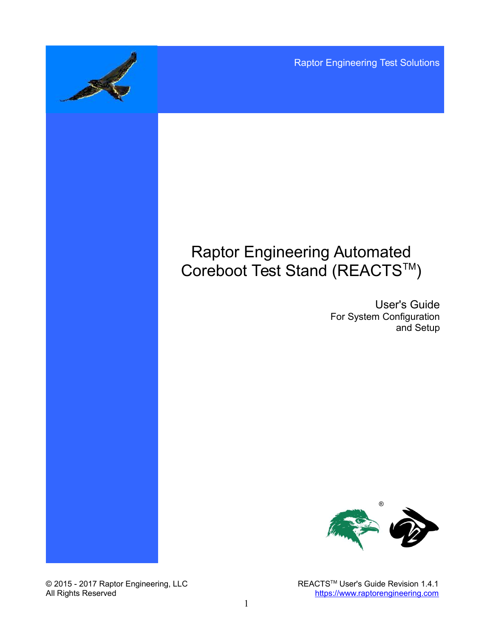Raptor Engineering Test Solutions

# Raptor Engineering Automated Coreboot Test Stand (REACTS™)

User's Guide For System Configuration and Setup



© 2015 - 2017 Raptor Engineering, LLC REACTS™ User's Guide Revision 1.4.1 All Rights Reserved **[https://www.raptorengineering.com](https://www.raptorengineering.com/)**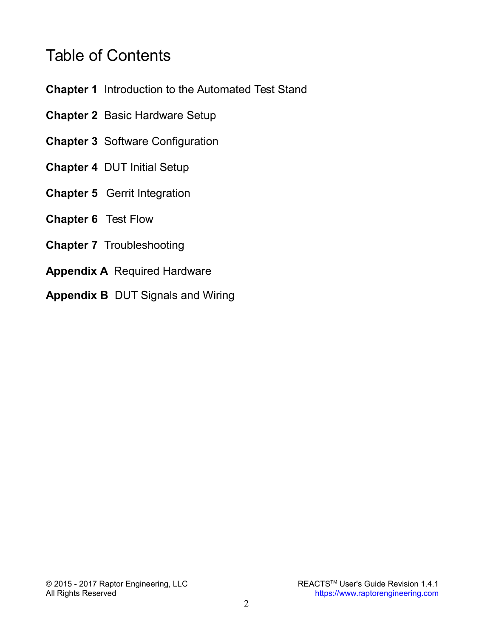# Table of Contents

- **Chapter 1** Introduction to the Automated Test Stand
- **Chapter 2** Basic Hardware Setup
- **Chapter 3** Software Configuration
- **Chapter 4** DUT Initial Setup
- **Chapter 5** Gerrit Integration
- **Chapter 6** Test Flow
- **Chapter 7** Troubleshooting
- **Appendix A** Required Hardware
- **Appendix B** DUT Signals and Wiring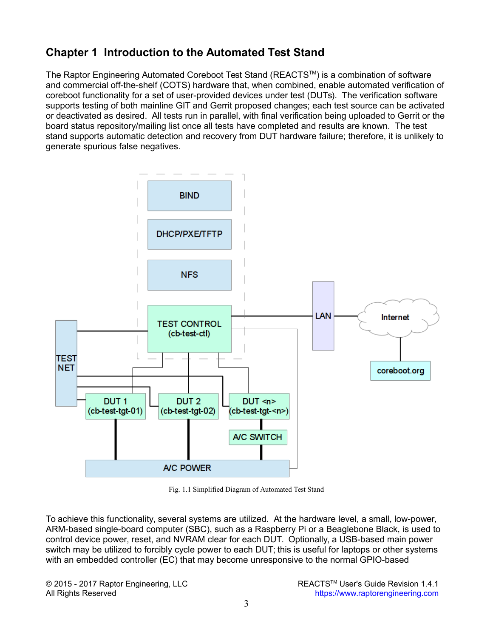# **Chapter 1 Introduction to the Automated Test Stand**

The Raptor Engineering Automated Coreboot Test Stand (REACTS™) is a combination of software and commercial off-the-shelf (COTS) hardware that, when combined, enable automated verification of coreboot functionality for a set of user-provided devices under test (DUTs). The verification software supports testing of both mainline GIT and Gerrit proposed changes; each test source can be activated or deactivated as desired. All tests run in parallel, with final verification being uploaded to Gerrit or the board status repository/mailing list once all tests have completed and results are known. The test stand supports automatic detection and recovery from DUT hardware failure; therefore, it is unlikely to generate spurious false negatives.



Fig. 1.1 Simplified Diagram of Automated Test Stand

To achieve this functionality, several systems are utilized. At the hardware level, a small, low-power, ARM-based single-board computer (SBC), such as a Raspberry Pi or a Beaglebone Black, is used to control device power, reset, and NVRAM clear for each DUT. Optionally, a USB-based main power switch may be utilized to forcibly cycle power to each DUT; this is useful for laptops or other systems with an embedded controller (EC) that may become unresponsive to the normal GPIO-based

© 2015 - 2017 Raptor Engineering, LLC **REACTSTM User's Guide Revision 1.4.1** All Rights Reserved **[https://www.raptorengineering.com](https://www.raptorengineering.com/)**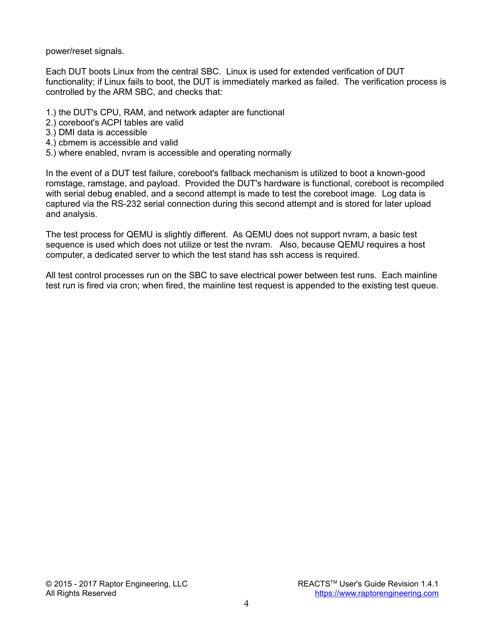power/reset signals.

Each DUT boots Linux from the central SBC. Linux is used for extended verification of DUT functionality; if Linux fails to boot, the DUT is immediately marked as failed. The verification process is controlled by the ARM SBC, and checks that:

- 1.) the DUT's CPU, RAM, and network adapter are functional
- 2.) coreboot's ACPI tables are valid
- 3.) DMI data is accessible
- 4.) cbmem is accessible and valid
- 5.) where enabled, nvram is accessible and operating normally

In the event of a DUT test failure, coreboot's fallback mechanism is utilized to boot a known-good romstage, ramstage, and payload. Provided the DUT's hardware is functional, coreboot is recompiled with serial debug enabled, and a second attempt is made to test the coreboot image. Log data is captured via the RS-232 serial connection during this second attempt and is stored for later upload and analysis.

The test process for QEMU is slightly different. As QEMU does not support nvram, a basic test sequence is used which does not utilize or test the nvram. Also, because QEMU requires a host computer, a dedicated server to which the test stand has ssh access is required.

All test control processes run on the SBC to save electrical power between test runs. Each mainline test run is fired via cron; when fired, the mainline test request is appended to the existing test queue.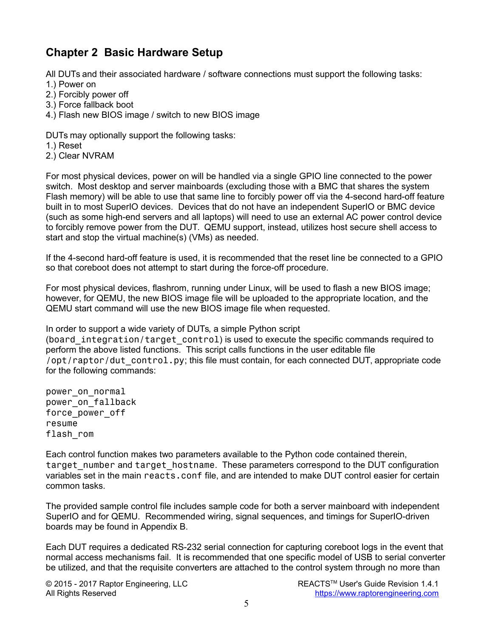# **Chapter 2 Basic Hardware Setup**

All DUTs and their associated hardware / software connections must support the following tasks:

- 1.) Power on
- 2.) Forcibly power off
- 3.) Force fallback boot
- 4.) Flash new BIOS image / switch to new BIOS image

DUTs may optionally support the following tasks:

- 1.) Reset
- 2.) Clear NVRAM

For most physical devices, power on will be handled via a single GPIO line connected to the power switch. Most desktop and server mainboards (excluding those with a BMC that shares the system Flash memory) will be able to use that same line to forcibly power off via the 4-second hard-off feature built in to most SuperIO devices. Devices that do not have an independent SuperIO or BMC device (such as some high-end servers and all laptops) will need to use an external AC power control device to forcibly remove power from the DUT. QEMU support, instead, utilizes host secure shell access to start and stop the virtual machine(s) (VMs) as needed.

If the 4-second hard-off feature is used, it is recommended that the reset line be connected to a GPIO so that coreboot does not attempt to start during the force-off procedure.

For most physical devices, flashrom, running under Linux, will be used to flash a new BIOS image; however, for QEMU, the new BIOS image file will be uploaded to the appropriate location, and the QEMU start command will use the new BIOS image file when requested.

In order to support a wide variety of DUTs, a simple Python script (board integration/target control) is used to execute the specific commands required to perform the above listed functions. This script calls functions in the user editable file /opt/raptor/dut\_control.py; this file must contain, for each connected DUT, appropriate code for the following commands:

power on normal power on fallback force\_power\_off resume flash\_rom

Each control function makes two parameters available to the Python code contained therein, target number and target hostname. These parameters correspond to the DUT configuration variables set in the main reacts.conf file, and are intended to make DUT control easier for certain common tasks.

The provided sample control file includes sample code for both a server mainboard with independent SuperIO and for QEMU. Recommended wiring, signal sequences, and timings for SuperIO-driven boards may be found in Appendix B.

Each DUT requires a dedicated RS-232 serial connection for capturing coreboot logs in the event that normal access mechanisms fail. It is recommended that one specific model of USB to serial converter be utilized, and that the requisite converters are attached to the control system through no more than

© 2015 - 2017 Raptor Engineering, LLC **REACTSTM User's Guide Revision 1.4.1** All Rights Reserved **[https://www.raptorengineering.com](https://www.raptorengineering.com/)**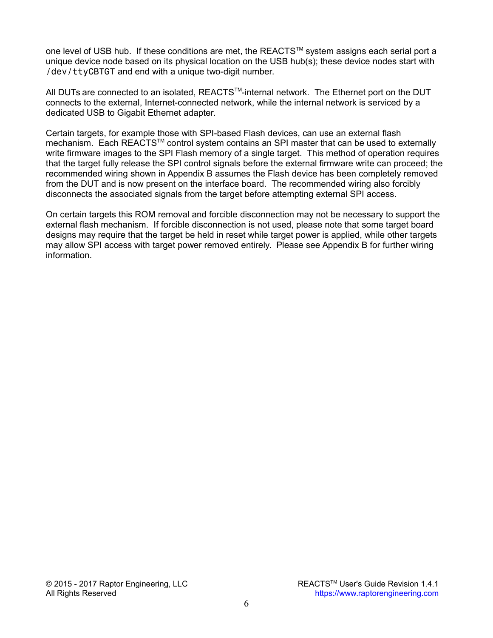one level of USB hub. If these conditions are met, the REACTS™ system assigns each serial port a unique device node based on its physical location on the USB hub(s); these device nodes start with /dev/ttyCBTGT and end with a unique two-digit number.

All DUTs are connected to an isolated, REACTS™-internal network. The Ethernet port on the DUT connects to the external, Internet-connected network, while the internal network is serviced by a dedicated USB to Gigabit Ethernet adapter.

Certain targets, for example those with SPI-based Flash devices, can use an external flash mechanism. Each REACTS™ control system contains an SPI master that can be used to externally write firmware images to the SPI Flash memory of a single target. This method of operation requires that the target fully release the SPI control signals before the external firmware write can proceed; the recommended wiring shown in Appendix B assumes the Flash device has been completely removed from the DUT and is now present on the interface board. The recommended wiring also forcibly disconnects the associated signals from the target before attempting external SPI access.

On certain targets this ROM removal and forcible disconnection may not be necessary to support the external flash mechanism. If forcible disconnection is not used, please note that some target board designs may require that the target be held in reset while target power is applied, while other targets may allow SPI access with target power removed entirely. Please see Appendix B for further wiring information.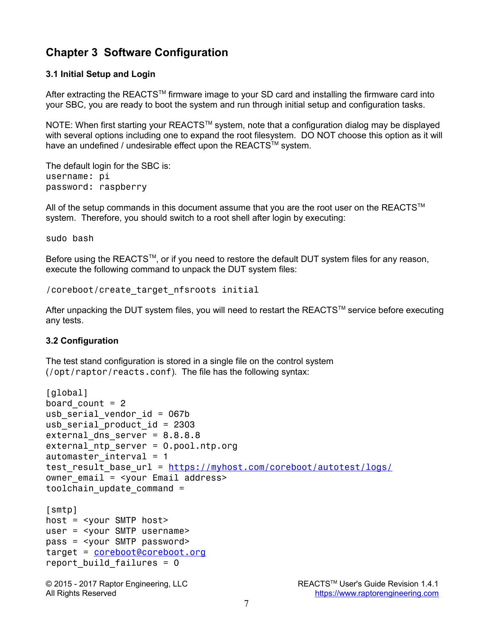# **Chapter 3 Software Configuration**

### **3.1 Initial Setup and Login**

After extracting the REACTS™ firmware image to your SD card and installing the firmware card into your SBC, you are ready to boot the system and run through initial setup and configuration tasks.

NOTE: When first starting your REACTS™ system, note that a configuration dialog may be displayed with several options including one to expand the root filesystem. DO NOT choose this option as it will have an undefined / undesirable effect upon the REACTS™ system.

The default login for the SBC is: username: pi password: raspberry

All of the setup commands in this document assume that you are the root user on the REACTS<sup>TM</sup> system. Therefore, you should switch to a root shell after login by executing:

sudo bash

Before using the REACTS™, or if you need to restore the default DUT system files for any reason, execute the following command to unpack the DUT system files:

/coreboot/create\_target\_nfsroots initial

After unpacking the DUT system files, you will need to restart the REACTS™ service before executing any tests.

### **3.2 Configuration**

The test stand configuration is stored in a single file on the control system (/opt/raptor/reacts.conf). The file has the following syntax:

```
[global]
board count = 2usb serial vendor id = 067busb serial product id = 2303external dns server = 8.8.8.8external ntp server = 0.pool.ntp.org
automaster interval = 1 https://myhost.com/coreboot/autotest/logs/
owner email = \langleyour Email address>
toolchain update command =[smtp]
host = <your SMTP host>
user = <your SMTP username>
pass = <your SMTP password>
target = coreboot@coreboot.org
report build failures = 0
```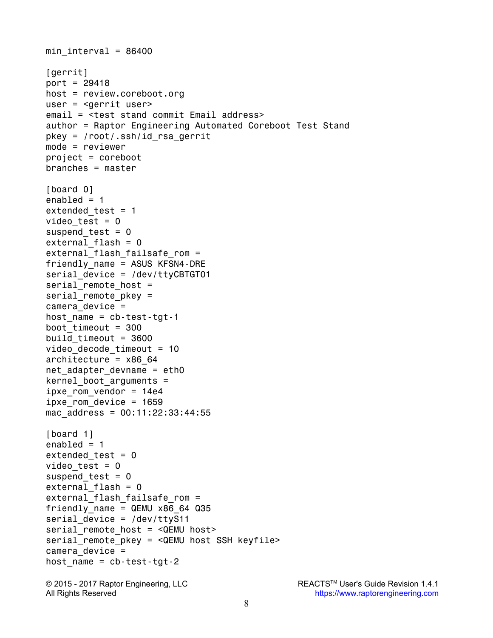```
min interval = 86400[gerrit]
port = 29418
host = review.coreboot.org
user = <gerrit user>
email = <test stand commit Email address>
author = Raptor Engineering Automated Coreboot Test Stand
pkey = /root/.ssh/id rsa gerrit
mode = reviewer
project = coreboot
branches = master
[board 0]
enabled = 1extended test = 1video test = 0suspend test = 0external flash = 0
external flash failsafe rom =
friendly_name = ASUS KFSN4-DRE
serial device = /dev/ttyCBTGT01
serial remote host =serial remote pkey =camera_device =
host name = cb-test-tgt-1boot timeout = 300build timeout = 3600video decode timeout = 10architecture = x8664net adapter devname = eth0kernel boot arguments =
ipxe rom vendor = 14e4ipxe rom device = 1659mac address = 00:11:22:33:44:55[board 1]
enabled = 1extended test = 0video test = 0suspend test = 0external flash = 0
external flash failsafe rom =
friendly name = QEMU x86 64 Q35serial device = /dev/ttyS11
serial remote host = \leqQEMU host>
serial remote pkey = <QEMU host SSH keyfile>
camera device =host name = cb-test-tgt-2© 2015 - 2017 Raptor Engineering, LLC REACTS<sup>™</sup> User's Guide Revision 1.4.1
```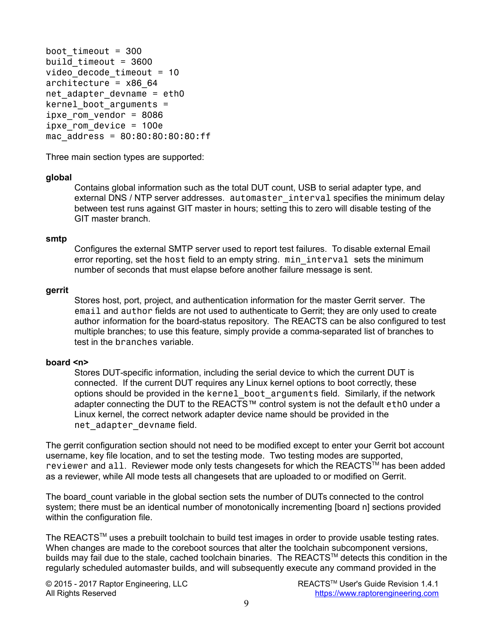```
boot timeout = 300build timeout = 3600video decode timeout = 10architecture = x8664net adapter devname = eth0
kernel boot arguments =
ipxe rom vendor = 8086
ipxe rom device = 100e
mac_address = 80:80:80:80:80:ff
```
Three main section types are supported:

#### **global**

Contains global information such as the total DUT count, USB to serial adapter type, and external DNS / NTP server addresses. automaster interval specifies the minimum delay between test runs against GIT master in hours; setting this to zero will disable testing of the GIT master branch.

#### **smtp**

Configures the external SMTP server used to report test failures. To disable external Email error reporting, set the host field to an empty string. min interval sets the minimum number of seconds that must elapse before another failure message is sent.

#### **gerrit**

Stores host, port, project, and authentication information for the master Gerrit server. The email and author fields are not used to authenticate to Gerrit; they are only used to create author information for the board-status repository. The REACTS can be also configured to test multiple branches; to use this feature, simply provide a comma-separated list of branches to test in the branches variable.

#### **board <n>**

Stores DUT-specific information, including the serial device to which the current DUT is connected. If the current DUT requires any Linux kernel options to boot correctly, these options should be provided in the kernel boot arguments field. Similarly, if the network adapter connecting the DUT to the REACTS™ control system is not the default eth0 under a Linux kernel, the correct network adapter device name should be provided in the net adapter devname field.

The gerrit configuration section should not need to be modified except to enter your Gerrit bot account username, key file location, and to set the testing mode. Two testing modes are supported, reviewer and all. Reviewer mode only tests changesets for which the REACTS™ has been added as a reviewer, while All mode tests all changesets that are uploaded to or modified on Gerrit.

The board count variable in the global section sets the number of DUTs connected to the control system; there must be an identical number of monotonically incrementing [board n] sections provided within the configuration file.

The REACTS™ uses a prebuilt toolchain to build test images in order to provide usable testing rates. When changes are made to the coreboot sources that alter the toolchain subcomponent versions, builds may fail due to the stale, cached toolchain binaries. The REACTS™ detects this condition in the regularly scheduled automaster builds, and will subsequently execute any command provided in the

© 2015 - 2017 Raptor Engineering, LLC REACTS™ User's Guide Revision 1.4.1

All Rights Reserved **[https://www.raptorengineering.com](https://www.raptorengineering.com/)**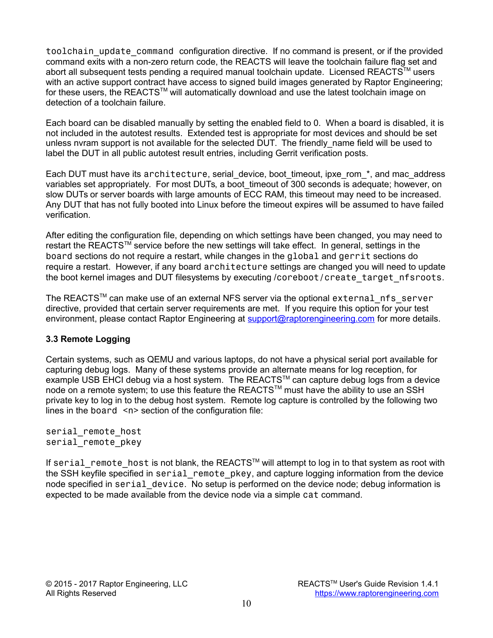toolchain update command configuration directive. If no command is present, or if the provided command exits with a non-zero return code, the REACTS will leave the toolchain failure flag set and abort all subsequent tests pending a required manual toolchain update. Licensed REACTS™ users with an active support contract have access to signed build images generated by Raptor Engineering; for these users, the REACTS™ will automatically download and use the latest toolchain image on detection of a toolchain failure.

Each board can be disabled manually by setting the enabled field to 0. When a board is disabled, it is not included in the autotest results. Extended test is appropriate for most devices and should be set unless nyram support is not available for the selected DUT. The friendly name field will be used to label the DUT in all public autotest result entries, including Gerrit verification posts.

Each DUT must have its architecture, serial device, boot timeout, ipxe rom \*, and mac address variables set appropriately. For most DUTs, a boot timeout of 300 seconds is adequate; however, on slow DUTs or server boards with large amounts of ECC RAM, this timeout may need to be increased. Any DUT that has not fully booted into Linux before the timeout expires will be assumed to have failed verification.

After editing the configuration file, depending on which settings have been changed, you may need to restart the REACTS™ service before the new settings will take effect. In general, settings in the board sections do not require a restart, while changes in the global and gerrit sections do require a restart. However, if any board architecture settings are changed you will need to update the boot kernel images and DUT filesystems by executing /coreboot/create target nfsroots.

The REACTS™ can make use of an external NFS server via the optional external nfs server directive, provided that certain server requirements are met. If you require this option for your test environment, please contact Raptor Engineering at [support@raptorengineering.com](mailto:support@raptorengineering.com) for more details.

### **3.3 Remote Logging**

Certain systems, such as QEMU and various laptops, do not have a physical serial port available for capturing debug logs. Many of these systems provide an alternate means for log reception, for example USB EHCI debug via a host system. The REACTS™ can capture debug logs from a device node on a remote system; to use this feature the REACTS™ must have the ability to use an SSH private key to log in to the debug host system. Remote log capture is controlled by the following two lines in the board  $\leq n$  section of the configuration file:

serial remote host serial remote pkey

If serial remote host is not blank, the REACTS™ will attempt to log in to that system as root with the SSH keyfile specified in serial remote pkey, and capture logging information from the device node specified in serial device. No setup is performed on the device node; debug information is expected to be made available from the device node via a simple cat command.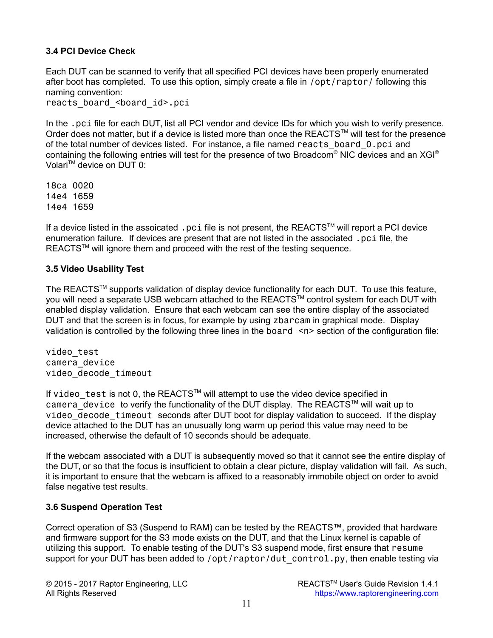### **3.4 PCI Device Check**

Each DUT can be scanned to verify that all specified PCI devices have been properly enumerated after boot has completed. To use this option, simply create a file in /opt/raptor/ following this naming convention:

reacts board <board id>.pci

In the .pci file for each DUT, list all PCI vendor and device IDs for which you wish to verify presence. Order does not matter, but if a device is listed more than once the REACTS<sup>TM</sup> will test for the presence of the total number of devices listed. For instance, a file named reacts\_board\_0.pci and containing the following entries will test for the presence of two Broadcom® NIC devices and an XGI® Volari<sup>™</sup> device on DUT 0:

18ca 0020 14e4 1659 14e4 1659

If a device listed in the assoicated .pci file is not present, the REACTS™ will report a PCI device enumeration failure. If devices are present that are not listed in the associated .pci file, the REACTS™ will ignore them and proceed with the rest of the testing sequence.

#### **3.5 Video Usability Test**

The REACTS<sup>TM</sup> supports validation of display device functionality for each DUT. To use this feature, you will need a separate USB webcam attached to the REACTS™ control system for each DUT with enabled display validation. Ensure that each webcam can see the entire display of the associated DUT and that the screen is in focus, for example by using zbarcam in graphical mode. Display validation is controlled by the following three lines in the board  $\langle n \rangle$  section of the configuration file:

video\_test camera\_device video\_decode\_timeout

If video test is not 0, the REACTS™ will attempt to use the video device specified in camera device to verify the functionality of the DUT display. The REACTS™ will wait up to video decode timeout seconds after DUT boot for display validation to succeed. If the display device attached to the DUT has an unusually long warm up period this value may need to be increased, otherwise the default of 10 seconds should be adequate.

If the webcam associated with a DUT is subsequently moved so that it cannot see the entire display of the DUT, or so that the focus is insufficient to obtain a clear picture, display validation will fail. As such, it is important to ensure that the webcam is affixed to a reasonably immobile object on order to avoid false negative test results.

### **3.6 Suspend Operation Test**

Correct operation of S3 (Suspend to RAM) can be tested by the REACTS™, provided that hardware and firmware support for the S3 mode exists on the DUT, and that the Linux kernel is capable of utilizing this support. To enable testing of the DUT's S3 suspend mode, first ensure that resume support for your DUT has been added to /opt/raptor/dut control.py, then enable testing via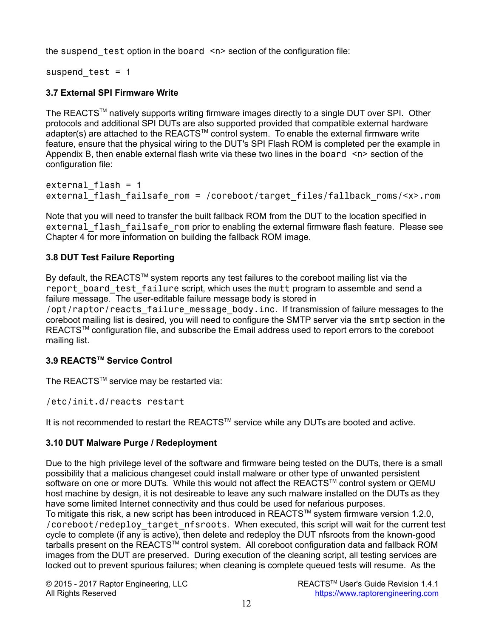the suspend test option in the board  $\langle n \rangle$  section of the configuration file:

suspend test =  $1$ 

### **3.7 External SPI Firmware Write**

The REACTS<sup>TM</sup> natively supports writing firmware images directly to a single DUT over SPI. Other protocols and additional SPI DUTs are also supported provided that compatible external hardware  $a$ dapter(s) are attached to the REACTS<sup>TM</sup> control system. To enable the external firmware write feature, ensure that the physical wiring to the DUT's SPI Flash ROM is completed per the example in Appendix B, then enable external flash write via these two lines in the board <n> section of the configuration file:

```
external flash = 1
external flash failsafe rom = /coreboot/target files/fallback roms/<x>.rom
```
Note that you will need to transfer the built fallback ROM from the DUT to the location specified in external flash failsafe rom prior to enabling the external firmware flash feature. Please see Chapter 4 for more information on building the fallback ROM image.

### **3.8 DUT Test Failure Reporting**

By default, the REACTS™ system reports any test failures to the coreboot mailing list via the report board test failure script, which uses the mutt program to assemble and send a failure message. The user-editable failure message body is stored in /opt/raptor/reacts\_failure\_message\_body.inc. If transmission of failure messages to the coreboot mailing list is desired, you will need to configure the SMTP server via the smtp section in the REACTS™ configuration file, and subscribe the Email address used to report errors to the coreboot mailing list.

### **3.9 REACTSTM Service Control**

The REACTS™ service may be restarted via:

/etc/init.d/reacts restart

It is not recommended to restart the REACTS™ service while any DUTs are booted and active.

### **3.10 DUT Malware Purge / Redeployment**

Due to the high privilege level of the software and firmware being tested on the DUTs, there is a small possibility that a malicious changeset could install malware or other type of unwanted persistent software on one or more DUTs. While this would not affect the REACTS™ control system or QEMU host machine by design, it is not desireable to leave any such malware installed on the DUTs as they have some limited Internet connectivity and thus could be used for nefarious purposes. To mitigate this risk, a new script has been introduced in REACTS™ system firmware version 1.2.0, /coreboot/redeploy\_target\_nfsroots. When executed, this script will wait for the current test cycle to complete (if any is active), then delete and redeploy the DUT nfsroots from the known-good tarballs present on the REACTS<sup>TM</sup> control system. All coreboot configuration data and fallback ROM images from the DUT are preserved. During execution of the cleaning script, all testing services are locked out to prevent spurious failures; when cleaning is complete queued tests will resume. As the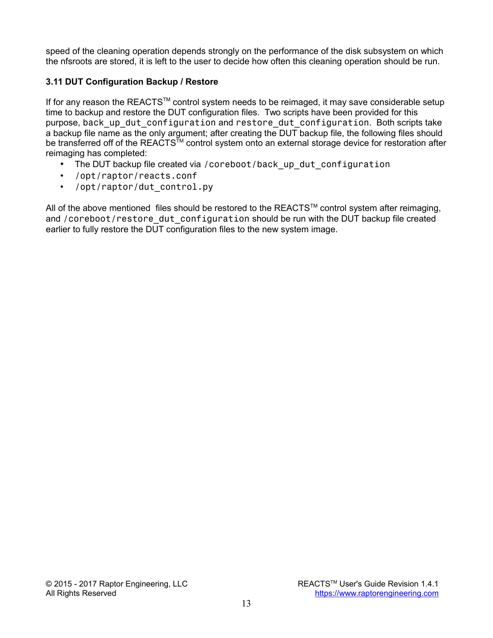speed of the cleaning operation depends strongly on the performance of the disk subsystem on which the nfsroots are stored, it is left to the user to decide how often this cleaning operation should be run.

### **3.11 DUT Configuration Backup / Restore**

If for any reason the REACTS™ control system needs to be reimaged, it may save considerable setup time to backup and restore the DUT configuration files. Two scripts have been provided for this purpose, back up dut configuration and restore dut configuration. Both scripts take a backup file name as the only argument; after creating the DUT backup file, the following files should be transferred off of the REACTS<sup>TM</sup> control system onto an external storage device for restoration after reimaging has completed:

- The DUT backup file created via /coreboot/back\_up\_dut\_configuration
- /opt/raptor/reacts.conf
- /opt/raptor/dut control.py

All of the above mentioned files should be restored to the REACTS™ control system after reimaging, and /coreboot/restore\_dut\_configuration should be run with the DUT backup file created earlier to fully restore the DUT configuration files to the new system image.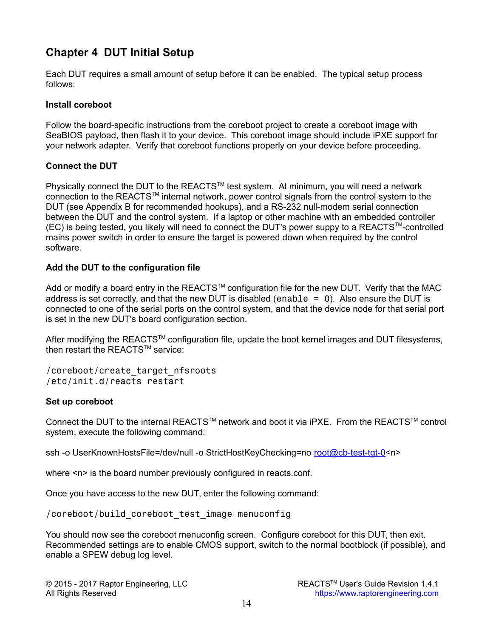# **Chapter 4 DUT Initial Setup**

Each DUT requires a small amount of setup before it can be enabled. The typical setup process follows:

### **Install coreboot**

Follow the board-specific instructions from the coreboot project to create a coreboot image with SeaBIOS payload, then flash it to your device. This coreboot image should include iPXE support for your network adapter. Verify that coreboot functions properly on your device before proceeding.

### **Connect the DUT**

Physically connect the DUT to the REACTS™ test system. At minimum, you will need a network connection to the REACTS<sup>TM</sup> internal network, power control signals from the control system to the DUT (see Appendix B for recommended hookups), and a RS-232 null-modem serial connection between the DUT and the control system. If a laptop or other machine with an embedded controller (EC) is being tested, you likely will need to connect the DUT's power suppy to a REACTSTM-controlled mains power switch in order to ensure the target is powered down when required by the control software.

### **Add the DUT to the configuration file**

Add or modify a board entry in the REACTS™ configuration file for the new DUT. Verify that the MAC address is set correctly, and that the new DUT is disabled (enable  $= 0$ ). Also ensure the DUT is connected to one of the serial ports on the control system, and that the device node for that serial port is set in the new DUT's board configuration section.

After modifying the REACTS™ configuration file, update the boot kernel images and DUT filesystems, then restart the REACTS™ service:

/coreboot/create\_target\_nfsroots /etc/init.d/reacts restart

### **Set up coreboot**

Connect the DUT to the internal REACTS™ network and boot it via iPXE. From the REACTS™ control system, execute the following command:

ssh -o UserKnownHostsFile=/dev/null -o StrictHostKeyChecking=no [root@cb-test-tgt-0<](mailto:root@cb-test-tgt-0)n>

where  $\leq n$  is the board number previously configured in reacts conf.

Once you have access to the new DUT, enter the following command:

/coreboot/build\_coreboot\_test\_image menuconfig

You should now see the coreboot menuconfig screen. Configure coreboot for this DUT, then exit. Recommended settings are to enable CMOS support, switch to the normal bootblock (if possible), and enable a SPEW debug log level.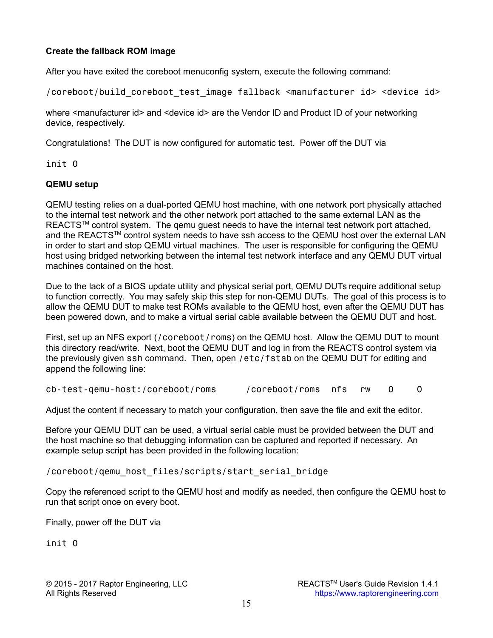### **Create the fallback ROM image**

After you have exited the coreboot menuconfig system, execute the following command:

/coreboot/build\_coreboot\_test\_image fallback <manufacturer id> <device id>

where <manufacturer id> and <device id> are the Vendor ID and Product ID of your networking device, respectively.

Congratulations! The DUT is now configured for automatic test. Power off the DUT via

init 0

### **QEMU setup**

QEMU testing relies on a dual-ported QEMU host machine, with one network port physically attached to the internal test network and the other network port attached to the same external LAN as the REACTS<sup>™</sup> control system. The gemu guest needs to have the internal test network port attached, and the REACTS™ control system needs to have ssh access to the QEMU host over the external LAN in order to start and stop QEMU virtual machines. The user is responsible for configuring the QEMU host using bridged networking between the internal test network interface and any QEMU DUT virtual machines contained on the host.

Due to the lack of a BIOS update utility and physical serial port, QEMU DUTs require additional setup to function correctly. You may safely skip this step for non-QEMU DUTs. The goal of this process is to allow the QEMU DUT to make test ROMs available to the QEMU host, even after the QEMU DUT has been powered down, and to make a virtual serial cable available between the QEMU DUT and host.

First, set up an NFS export (/coreboot/roms) on the QEMU host. Allow the QEMU DUT to mount this directory read/write. Next, boot the QEMU DUT and log in from the REACTS control system via the previously given ssh command. Then, open /etc/fstab on the QEMU DUT for editing and append the following line:

cb-test-qemu-host:/coreboot/roms /coreboot/roms nfs rw 0 0

Adjust the content if necessary to match your configuration, then save the file and exit the editor.

Before your QEMU DUT can be used, a virtual serial cable must be provided between the DUT and the host machine so that debugging information can be captured and reported if necessary. An example setup script has been provided in the following location:

/coreboot/qemu\_host\_files/scripts/start\_serial\_bridge

Copy the referenced script to the QEMU host and modify as needed, then configure the QEMU host to run that script once on every boot.

Finally, power off the DUT via

init 0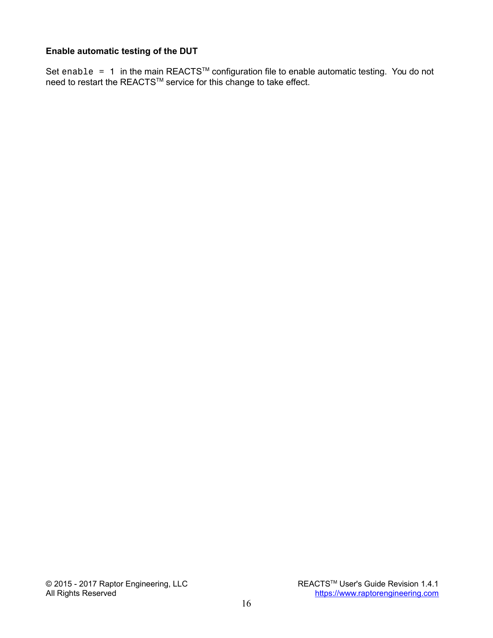### **Enable automatic testing of the DUT**

Set enable  $= 1$  in the main REACTS<sup>TM</sup> configuration file to enable automatic testing. You do not need to restart the REACTS™ service for this change to take effect.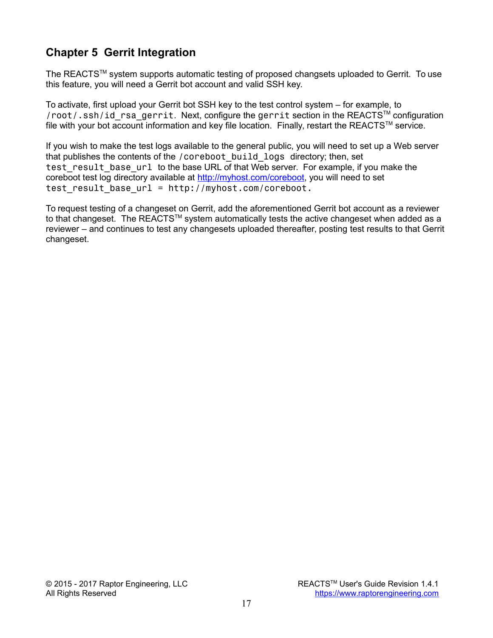# **Chapter 5 Gerrit Integration**

The REACTS™ system supports automatic testing of proposed changsets uploaded to Gerrit. To use this feature, you will need a Gerrit bot account and valid SSH key.

To activate, first upload your Gerrit bot SSH key to the test control system – for example, to /root/.ssh/id rsa gerrit. Next, configure the gerrit section in the REACTS™ configuration file with your bot account information and key file location. Finally, restart the REACTS™ service.

If you wish to make the test logs available to the general public, you will need to set up a Web server that publishes the contents of the /coreboot build logs directory; then, set test result base url to the base URL of that Web server. For example, if you make the coreboot test log directory available at [http://myhost.com/coreboot,](http://myhost.com/coreboot) you will need to set test result base  $url = http://myhost.com/coreboot.$ 

To request testing of a changeset on Gerrit, add the aforementioned Gerrit bot account as a reviewer to that changeset. The REACTS<sup>TM</sup> system automatically tests the active changeset when added as a reviewer – and continues to test any changesets uploaded thereafter, posting test results to that Gerrit changeset.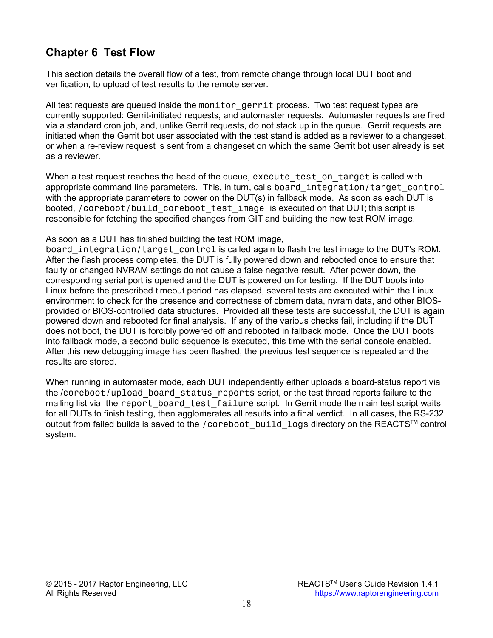# **Chapter 6 Test Flow**

This section details the overall flow of a test, from remote change through local DUT boot and verification, to upload of test results to the remote server.

All test requests are queued inside the monitor gerrit process. Two test request types are currently supported: Gerrit-initiated requests, and automaster requests. Automaster requests are fired via a standard cron job, and, unlike Gerrit requests, do not stack up in the queue. Gerrit requests are initiated when the Gerrit bot user associated with the test stand is added as a reviewer to a changeset, or when a re-review request is sent from a changeset on which the same Gerrit bot user already is set as a reviewer.

When a test request reaches the head of the queue, execute test on target is called with appropriate command line parameters. This, in turn, calls board integration/target control with the appropriate parameters to power on the DUT(s) in fallback mode. As soon as each DUT is booted, /coreboot/build coreboot test image is executed on that DUT; this script is responsible for fetching the specified changes from GIT and building the new test ROM image.

As soon as a DUT has finished building the test ROM image,

board integration/target control is called again to flash the test image to the DUT's ROM. After the flash process completes, the DUT is fully powered down and rebooted once to ensure that faulty or changed NVRAM settings do not cause a false negative result. After power down, the corresponding serial port is opened and the DUT is powered on for testing. If the DUT boots into Linux before the prescribed timeout period has elapsed, several tests are executed within the Linux environment to check for the presence and correctness of cbmem data, nvram data, and other BIOSprovided or BIOS-controlled data structures. Provided all these tests are successful, the DUT is again powered down and rebooted for final analysis. If any of the various checks fail, including if the DUT does not boot, the DUT is forcibly powered off and rebooted in fallback mode. Once the DUT boots into fallback mode, a second build sequence is executed, this time with the serial console enabled. After this new debugging image has been flashed, the previous test sequence is repeated and the results are stored.

When running in automaster mode, each DUT independently either uploads a board-status report via the /coreboot/upload\_board\_status\_reports script, or the test thread reports failure to the mailing list via the report board test failure script. In Gerrit mode the main test script waits for all DUTs to finish testing, then agglomerates all results into a final verdict. In all cases, the RS-232 output from failed builds is saved to the /coreboot build logs directory on the REACTS™ control system.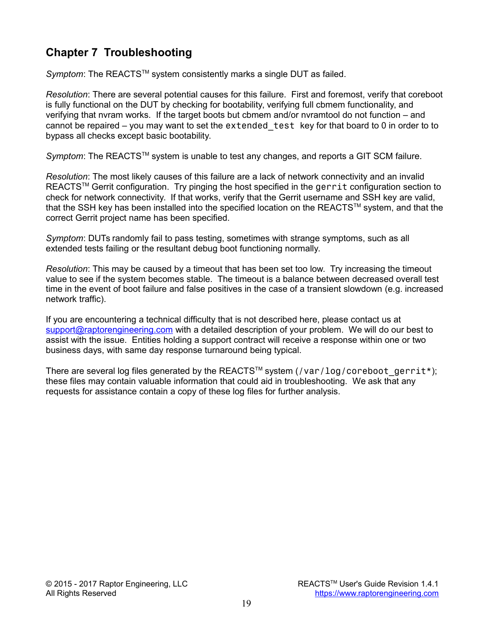# **Chapter 7 Troubleshooting**

*Symptom*: The REACTS™ system consistently marks a single DUT as failed.

*Resolution*: There are several potential causes for this failure. First and foremost, verify that coreboot is fully functional on the DUT by checking for bootability, verifying full cbmem functionality, and verifying that nvram works. If the target boots but cbmem and/or nvramtool do not function – and cannot be repaired  $-$  you may want to set the extended test key for that board to 0 in order to to bypass all checks except basic bootability.

Symptom: The REACTS™ system is unable to test any changes, and reports a GIT SCM failure.

*Resolution*: The most likely causes of this failure are a lack of network connectivity and an invalid REACTS<sup>™</sup> Gerrit configuration. Try pinging the host specified in the gerrit configuration section to check for network connectivity. If that works, verify that the Gerrit username and SSH key are valid, that the SSH key has been installed into the specified location on the REACTS™ system, and that the correct Gerrit project name has been specified.

*Symptom*: DUTs randomly fail to pass testing, sometimes with strange symptoms, such as all extended tests failing or the resultant debug boot functioning normally.

*Resolution*: This may be caused by a timeout that has been set too low. Try increasing the timeout value to see if the system becomes stable. The timeout is a balance between decreased overall test time in the event of boot failure and false positives in the case of a transient slowdown (e.g. increased network traffic).

If you are encountering a technical difficulty that is not described here, please contact us at [support@raptorengineering.com](mailto:support@raptorengineering.com) with a detailed description of your problem. We will do our best to assist with the issue. Entities holding a support contract will receive a response within one or two business days, with same day response turnaround being typical.

There are several log files generated by the REACTS<sup>TM</sup> system  $\frac{1}{g}$  ( $\frac{1}{g}$  coreboot gerrit\*); these files may contain valuable information that could aid in troubleshooting. We ask that any requests for assistance contain a copy of these log files for further analysis.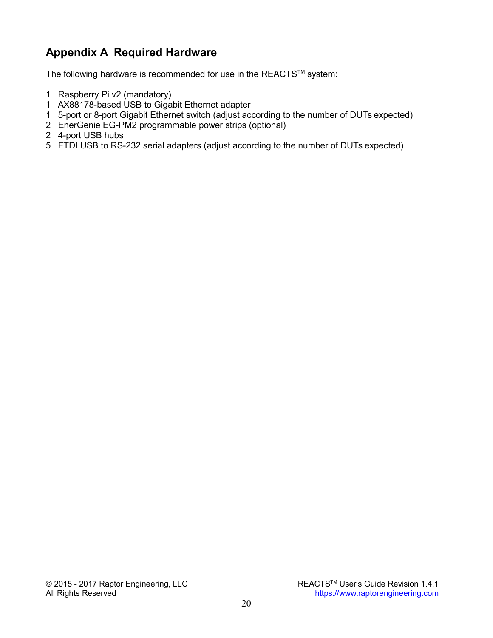# **Appendix A Required Hardware**

The following hardware is recommended for use in the REACTS™ system:

- 1 Raspberry Pi v2 (mandatory)
- 1 AX88178-based USB to Gigabit Ethernet adapter
- 1 5-port or 8-port Gigabit Ethernet switch (adjust according to the number of DUTs expected)
- 2 EnerGenie EG-PM2 programmable power strips (optional)
- 2 4-port USB hubs
- 5 FTDI USB to RS-232 serial adapters (adjust according to the number of DUTs expected)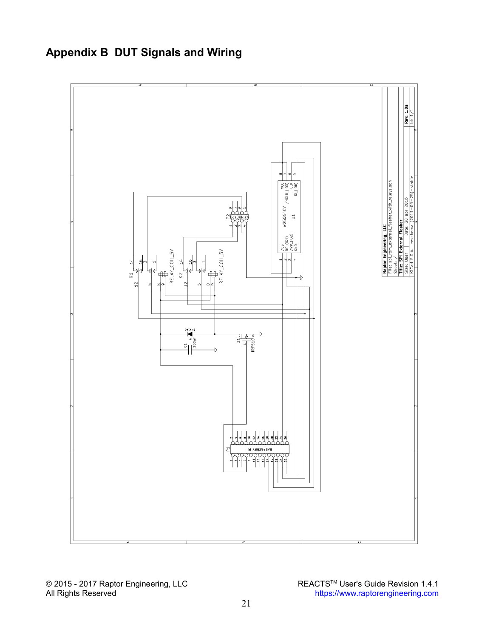

# **Appendix B DUT Signals and Wiring**

© 2015 - 2017 Raptor Engineering, LLC REACTS™ User's Guide Revision 1.4.1<br>All Rights Reserved **REACTSTM** User's Guide Revision 1.4.1 [https://www.raptorengineering.com](https://www.raptorengineering.com/)